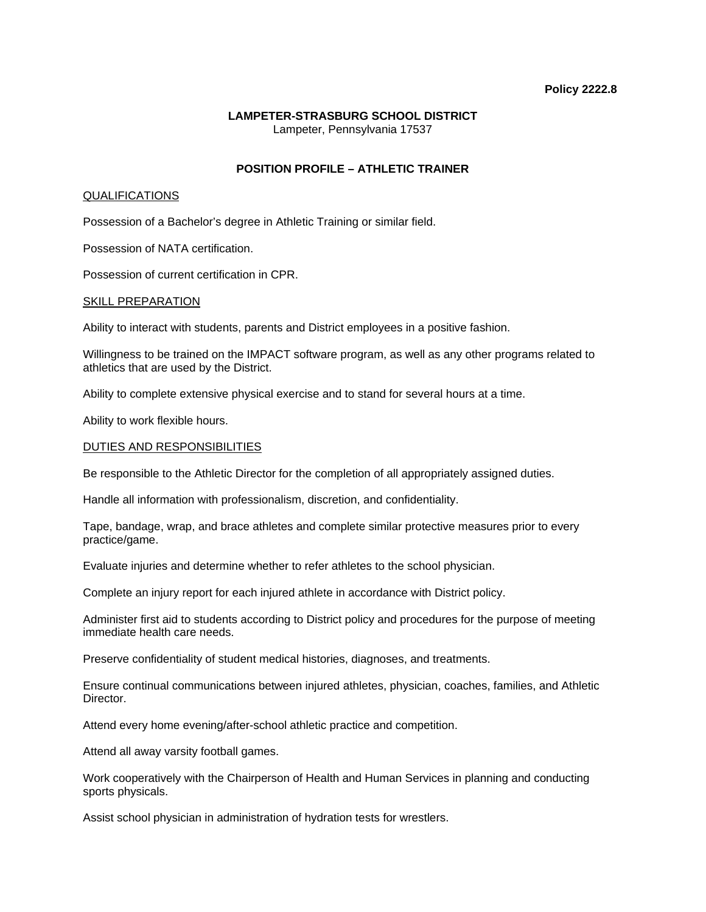#### **Policy 2222.8**

# **LAMPETER-STRASBURG SCHOOL DISTRICT**  Lampeter, Pennsylvania 17537

# **POSITION PROFILE – ATHLETIC TRAINER**

### QUALIFICATIONS

Possession of a Bachelor's degree in Athletic Training or similar field.

Possession of NATA certification.

Possession of current certification in CPR.

#### SKILL PREPARATION

Ability to interact with students, parents and District employees in a positive fashion.

Willingness to be trained on the IMPACT software program, as well as any other programs related to athletics that are used by the District.

Ability to complete extensive physical exercise and to stand for several hours at a time.

Ability to work flexible hours.

### DUTIES AND RESPONSIBILITIES

Be responsible to the Athletic Director for the completion of all appropriately assigned duties.

Handle all information with professionalism, discretion, and confidentiality.

Tape, bandage, wrap, and brace athletes and complete similar protective measures prior to every practice/game.

Evaluate injuries and determine whether to refer athletes to the school physician.

Complete an injury report for each injured athlete in accordance with District policy.

Administer first aid to students according to District policy and procedures for the purpose of meeting immediate health care needs.

Preserve confidentiality of student medical histories, diagnoses, and treatments.

Ensure continual communications between injured athletes, physician, coaches, families, and Athletic Director.

Attend every home evening/after-school athletic practice and competition.

Attend all away varsity football games.

Work cooperatively with the Chairperson of Health and Human Services in planning and conducting sports physicals.

Assist school physician in administration of hydration tests for wrestlers.